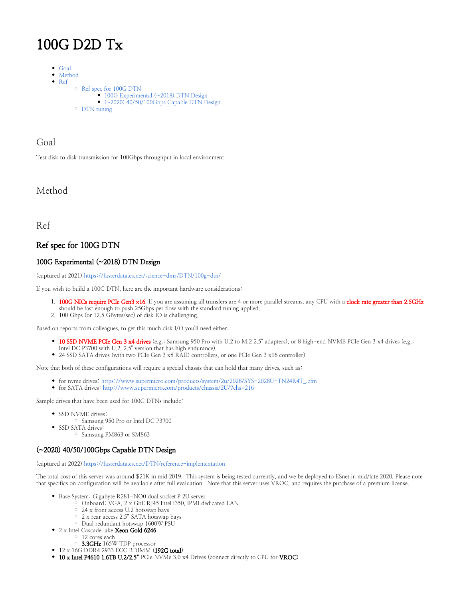# 100G D2D Tx

- $\bullet$  [Goal](#page-0-0)
- $\bullet$ [Method](#page-0-1)  $\bullet$ 
	- [Ref](#page-0-2) [Ref spec for 100G DTN](#page-0-3) <sup>100G</sup> Experimental (~2018) DTN Design [\(~2020\) 40/50/100Gbps Capable DTN Design](#page-0-5) [DTN tuning](#page-1-0)

## <span id="page-0-0"></span>Goal

Test disk to disk transmission for 100Gbps throughput in local environment

## <span id="page-0-1"></span>Method

<span id="page-0-2"></span>Ref

## <span id="page-0-3"></span>Ref spec for 100G DTN

#### <span id="page-0-4"></span>100G Experimental (~2018) DTN Design

(captured at 2021)<https://fasterdata.es.net/science-dmz/DTN/100g-dtn/>

If you wish to build a 100G DTN, here are the important hardware considerations:

- 1. 100G NICs require PCIe Gen3 x16. If you are assuming all transfers are 4 or more parallel streams, any CPU with a clock rate greater than 2.5GHz should be fast enough to push 25Gbps per flow with the standard tuning applied.
- 2. 100 Gbps (or 12.5 GBytes/sec) of disk IO is challenging.

Based on reports from colleagues, to get this much disk I/O you'll need either:

- <sup>o</sup> 10 SSD NVME PCIe Gen 3 x4 drives (e.g.: Samsung 950 Pro with U.2 to M.2 2.5" adapters), or 8 high-end NVME PCIe Gen 3 x4 drives (e.g.: Intel DC P3700 with U.2, 2.5" version that has high endurance).
- 24 SSD SATA drives (with two PCIe Gen 3 x8 RAID controllers, or one PCIe Gen 3 x16 controller)

Note that both of these configurations will require a special chassis that can hold that many drives, such as:

- for nvme drives: [https://www.supermicro.com/products/system/2u/2028/SYS-2028U-TN24R4T\\_.cfm](https://www.supermicro.com/products/system/2u/2028/SYS-2028U-TN24R4T_.cfm)
- for SATA drives: <http://www.supermicro.com/products/chassis/2U/?chs=216>

Sample drives that have been used for 100G DTNs include:

- SSD NVME drives:
	- Samsung 950 Pro or Intel DC P3700
- SSD SATA drives:

### Samsung PM863 or SM863

#### <span id="page-0-5"></span>(~2020) 40/50/100Gbps Capable DTN Design

(captured at 2022)<https://fasterdata.es.net/DTN/reference-implementation>

The total cost of this server was around \$21K in mid 2019. This system is being tested currently, and we be deployed to ESnet in mid/late 2020. Please note that specifics on configuration will be available after full evaluation. Note that this server uses VROC, and requires the purchase of a premium license.

- Base System: Gigabyte R281-NO0 dual socket P 2U server
	- $\circ$  Onboard: VGA, 2 x GbE RJ45 Intel i350, IPMI dedicated LAN
	- 24 x front access U.2 hotswap bays
	- 2 x rear access 2.5" SATA hotswap bays
	- <sup>o</sup> Dual redundant hotswap 1600W PSU
- 2 x Intel Cascade lake Xeon Gold 6246
	- 12 cores each
	- 3.3GHz 165W TDP processor
- $\bullet$  12 x 16G DDR4 2933 ECC RDIMM (192G total)
- 10 x Intel P4610 1.6TB U.2/2.5" PCIe NVMe 3.0 x4 Drives (connect directly to CPU for VROC)